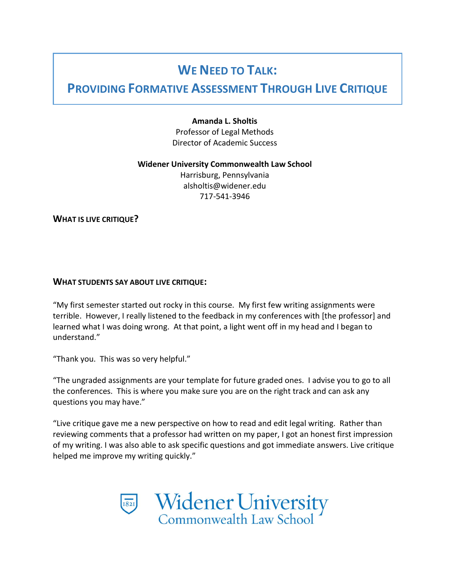# WE NEED TO TALK:

# PROVIDING FORMATIVE ASSESSMENT THROUGH LIVE CRITIQUE

## Amanda L. Sholtis

Professor of Legal Methods Director of Academic Success

#### Widener University Commonwealth Law School

Harrisburg, Pennsylvania alsholtis@widener.edu 717-541-3946

WHAT IS LIVE CRITIQUE?

## WHAT STUDENTS SAY ABOUT LIVE CRITIQUE:

"My first semester started out rocky in this course. My first few writing assignments were terrible. However, I really listened to the feedback in my conferences with [the professor] and learned what I was doing wrong. At that point, a light went off in my head and I began to understand."

"Thank you. This was so very helpful."

"The ungraded assignments are your template for future graded ones. I advise you to go to all the conferences. This is where you make sure you are on the right track and can ask any questions you may have."

"Live critique gave me a new perspective on how to read and edit legal writing. Rather than reviewing comments that a professor had written on my paper, I got an honest first impression of my writing. I was also able to ask specific questions and got immediate answers. Live critique helped me improve my writing quickly."

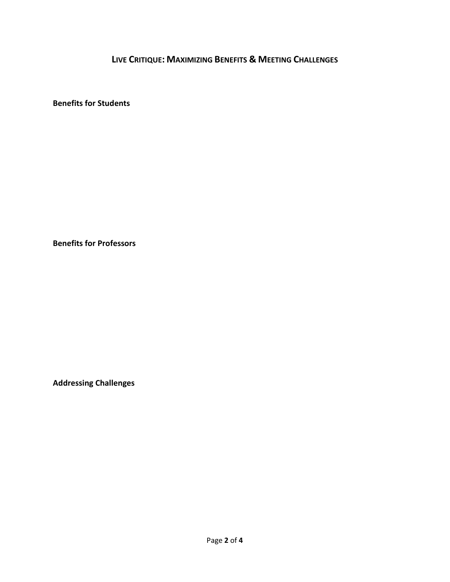LIVE CRITIQUE: MAXIMIZING BENEFITS & MEETING CHALLENGES

Benefits for Students

Benefits for Professors

Addressing Challenges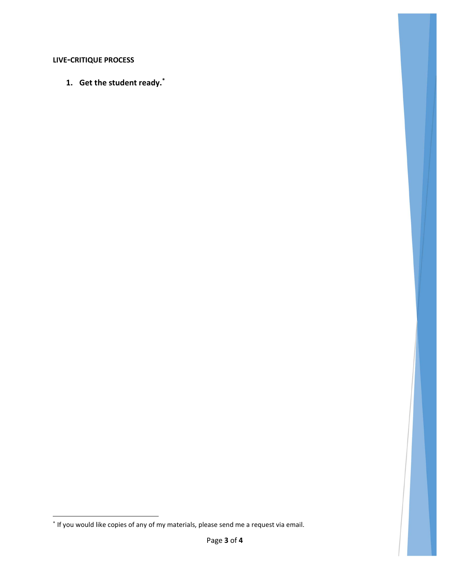# LIVE-CRITIQUE PROCESS

1. Get the student ready.\*

 \* If you would like copies of any of my materials, please send me a request via email.